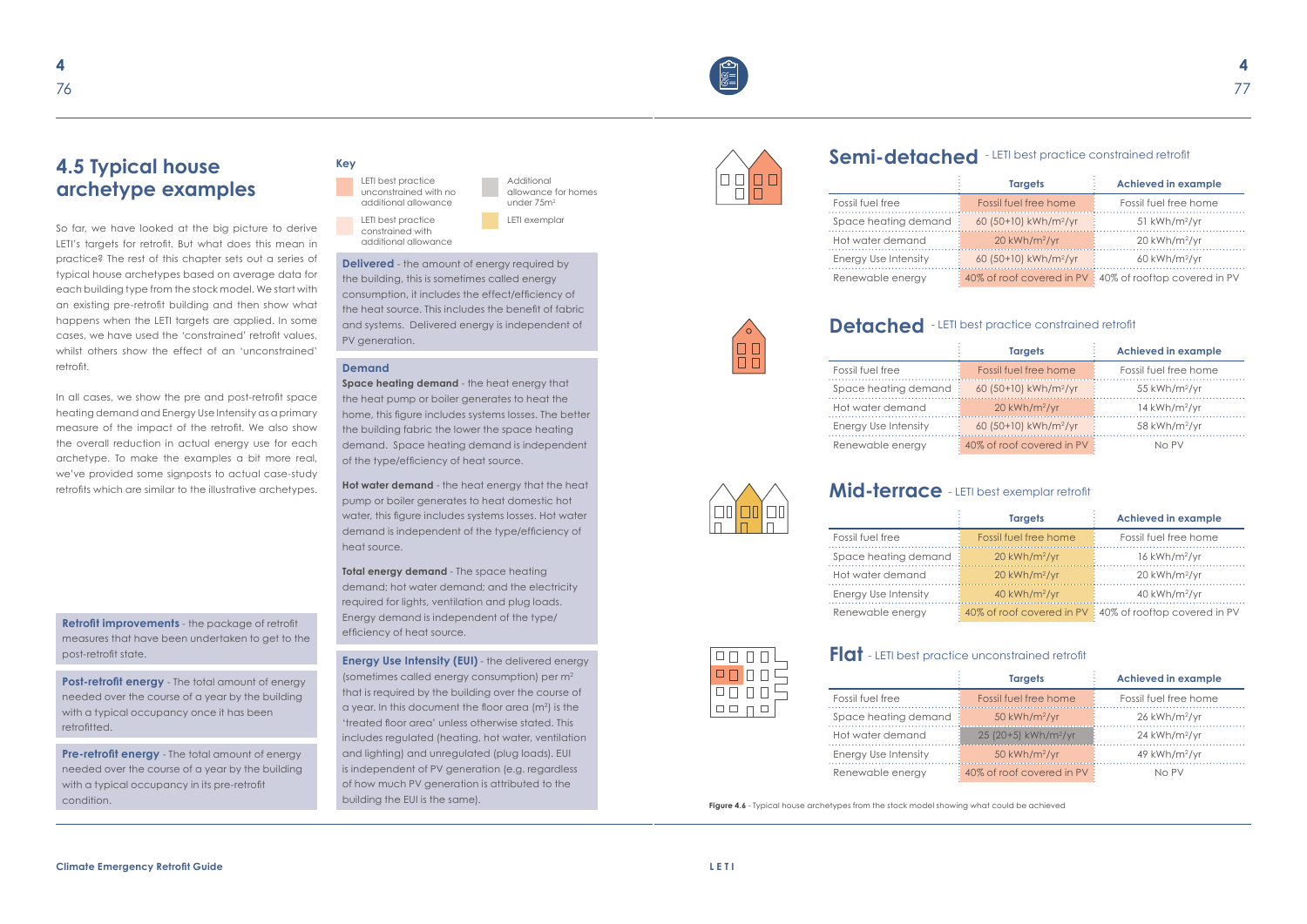So far, we have looked at the big picture to derive LETI's targets for retrofit. But what does this mean in practice? The rest of this chapter sets out a series of typical house archetypes based on average data for each building type from the stock model. We start with an existing pre-retrofit building and then show what happens when the LETI targets are applied. In some cases, we have used the 'constrained' retrofit values, whilst others show the effect of an 'unconstrained' retrofit.

**Pre-retrofit energy** - The total amount of energy needed over the course of a year by the building with a typical occupancy in its pre-retrofit condition.

In all cases, we show the pre and post-retrofit space heating demand and Energy Use Intensity as a primary measure of the impact of the retrofit. We also show the overall reduction in actual energy use for each archetype. To make the examples a bit more real, we've provided some signposts to actual case-study retrofits which are similar to the illustrative archetypes.

> **Total energy demand** - The space heating demand; hot water demand; and the electricity required for lights, ventilation and plug loads. Energy demand is independent of the type/ efficiency of heat source.



# **4.5 Typical house archetype examples**

#### **Demand**

**Space heating demand** - the heat energy that the heat pump or boiler generates to heat the home, this figure includes systems losses. The better the building fabric the lower the space heating demand. Space heating demand is independent of the type/efficiency of heat source.

**Hot water demand** - the heat energy that the heat pump or boiler generates to heat domestic hot water, this figure includes systems losses. Hot water demand is independent of the type/efficiency of heat source.

**Delivered** - the amount of energy required by the building, this is sometimes called energy consumption, it includes the effect/efficiency of the heat source. This includes the benefit of fabric and systems. Delivered energy is independent of PV generation.

**Retrofit improvements** - the package of retrofit measures that have been undertaken to get to the

**Post-retrofit energy** - The total amount of energy needed over the course of a year by the building with a typical occupancy once it has been retrofitted.

post-retrofit state. **Energy Use Intensity (EUI)** - the delivered energy (sometimes called energy consumption) per m2 that is required by the building over the course of a year. In this document the floor area ( $m<sup>2</sup>$ ) is the 'treated floor area' unless otherwise stated. This includes regulated (heating, hot water, ventilation and lighting) and unregulated (plug loads). EUI is independent of PV generation (e.g. regardless of how much PV generation is attributed to the building the EUI is the same).



**Figure 4.6** - Typical house archetypes from the stock model showing what could be achieved

|                      | <b>Targets</b>                    | <b>Achieved in example</b>                               |
|----------------------|-----------------------------------|----------------------------------------------------------|
| Fossil fuel free     | Fossil fuel free home             | Fossil fuel free home                                    |
| Space heating demand | 60 (50+10) kWh/m <sup>2</sup> /yr | $51$ kWh/m <sup>2</sup> /yr                              |
| Hot water demand     | $20$ kWh/m <sup>2</sup> /yr       | $20$ kWh/m <sup>2</sup> /yr                              |
| Energy Use Intensity | 60 (50+10) kWh/m <sup>2</sup> /yr | $60$ kWh/m <sup>2</sup> /yr                              |
| Renewable energy     |                                   | 40% of roof covered in PV : 40% of rooftop covered in PV |



# Detached - LETI best practice constrained retrofit

|                      | <b>Targets</b>                    | <b>Achieved in example</b>  |
|----------------------|-----------------------------------|-----------------------------|
| Fossil fuel free     | Fossil fuel free home             | Fossil fuel free home       |
| Space heating demand | 60 (50+10) kWh/m <sup>2</sup> /yr | $55$ kWh/m <sup>2</sup> /yr |
| Hot water demand     | $20$ kWh/m <sup>2</sup> /yr       | $14$ kWh/m <sup>2</sup> /yr |
| Energy Use Intensity | 60 (50+10) kWh/m <sup>2</sup> /yr | 58 kWh/m <sup>2</sup> /yr   |
| Renewable energy     | 40% of roof covered in PV         | No PV                       |



# **Semi-detached**  - LETI best practice constrained retrofit

# **Mid-terrace** - LETI best exemplar retrofit

# **Flat** - LETI best practice unconstrained retrofit

|                      | <b>Targets</b>                   | <b>Achieved in example</b>  |
|----------------------|----------------------------------|-----------------------------|
| Fossil fuel free     | Fossil fuel free home            | Fossil fuel free home       |
| Space heating demand | 50 kWh/m <sup>2</sup> /yr        | $26$ kWh/m <sup>2</sup> /yr |
| Hot water demand     | 25 (20+5) kWh/m <sup>2</sup> /yr | $24$ kWh/m <sup>2</sup> /yr |
| Energy Use Intensity | $50$ kWh/m <sup>2</sup> /yr      | $49$ kWh/m <sup>2</sup> /yr |
| Renewable energy     | 40% of roof covered in PV        | No PV                       |

|                      | <b>Targets</b>              | <b>Achieved in example</b>                               |
|----------------------|-----------------------------|----------------------------------------------------------|
| Fossil fuel free     | Fossil fuel free home       | Fossil fuel free home                                    |
| Space heating demand | $20$ kWh/m <sup>2</sup> /yr | $16$ kWh/m <sup>2</sup> /yr                              |
| Hot water demand     | $20$ kWh/m <sup>2</sup> /yr | $20$ kWh/m <sup>2</sup> /yr                              |
| Energy Use Intensity | $40$ kWh/m <sup>2</sup> /yr | $40$ kWh/m <sup>2</sup> /yr                              |
| Renewable energy     |                             | 40% of roof covered in PV : 40% of rooftop covered in PV |



LETI best practice unconstrained with no additional allowance LETI best practice

constrained with additional allowance

#### **Key**

Additional allowance for homes under 75m2 LETI exemplar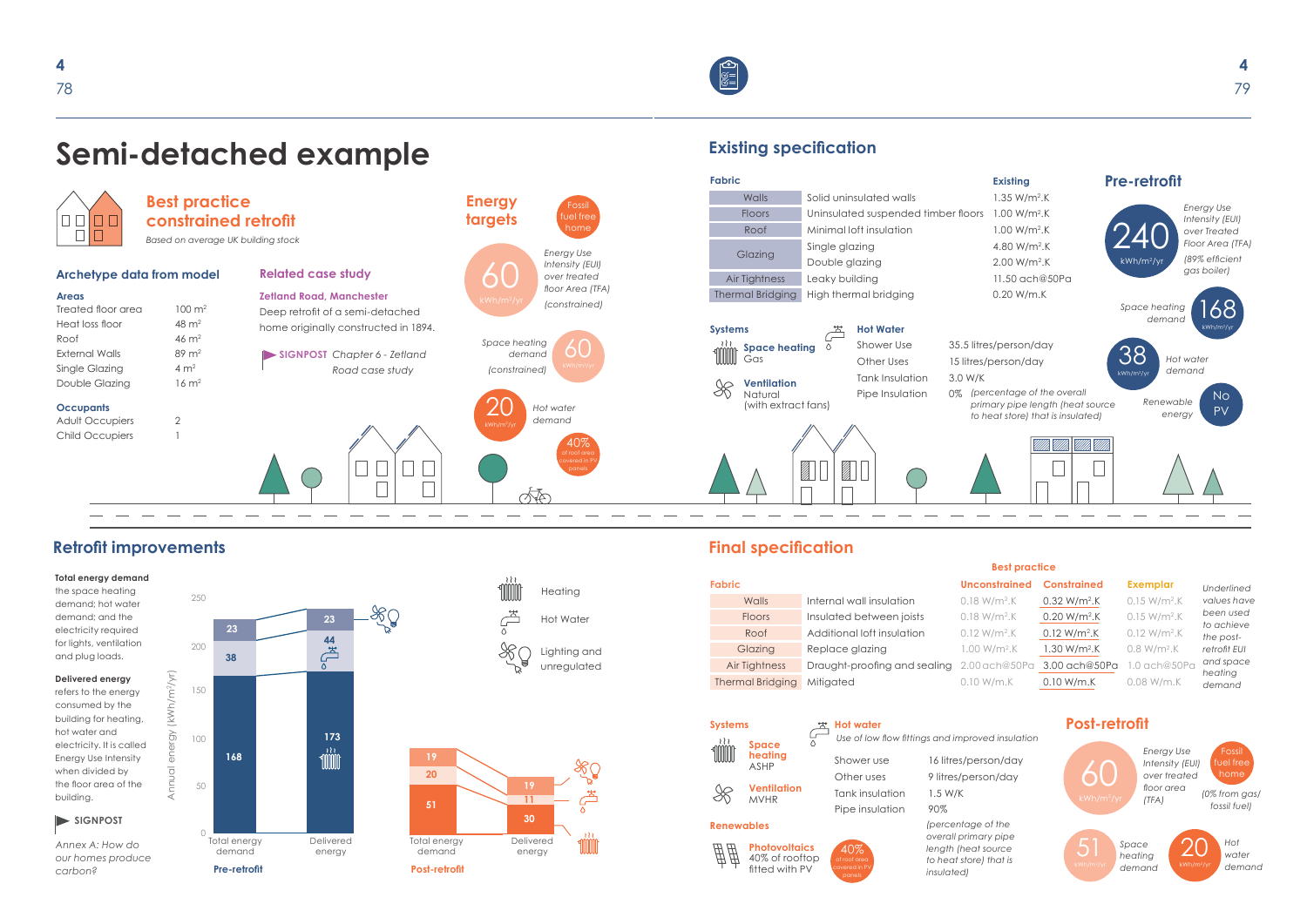

# **Retrofit improvements**

#### **Total energy demand**

the space heating demand; hot water demand; and the electricity required for lights, ventilation and plug loads.

**Delivered energy**

refers to the energy consumed by the building for heating, hot water and electricity. It is called Energy Use Intensity when divided by the floor area of the building.



*Annex A: How do our homes produce carbon?*

# **Existing specification**

*(0% from gas/ fossil fuel)*

# **Final specification**

fitted with PV

### **Systems Post-retrofit**

 $\bigcap$ **Post Retrofit Retrofit Retrofit Property** 

## **Best practice**

### Semi-detached example **Pre Retrofit**

*Use of low flow fittings and improved insulation*

S/person/day person/day

*Energy Use Intensity (EUI) over treated floor area (TFA)*

### **Unconstrained Constrained Exemplar**



|                       | $\cdots$                               | . 9                                                 |                                      |
|-----------------------|----------------------------------------|-----------------------------------------------------|--------------------------------------|
| <b>Systems</b><br>१११ | <b>Space</b>                           | <b>Hot water</b><br>Use of low flow fittings and im |                                      |
|                       | heating<br><b>ASHP</b>                 | Shower use                                          | 16 litres                            |
|                       |                                        | Other uses                                          | 9 litres/ $\kappa$                   |
|                       | <b>Ventilation</b><br><b>MVHR</b>      | Tank insulation                                     | $1.5$ W/K                            |
|                       |                                        | Pipe insulation                                     | 90%                                  |
| <b>Renewables</b>     |                                        |                                                     | (percent                             |
|                       | <b>Photovoltaics</b><br>40% of rooftop | 40%<br>of roof area                                 | overall p.<br>length (h<br>to heat s |

*Underlined values have been used to achieve the postretrofit EUI and space heating demand*

*Space heating demand* **23**



*Hot water demand*

| <b>Fabric</b>           |                                            | Unconstrained Constrained |                | <b>Exemplar</b> |
|-------------------------|--------------------------------------------|---------------------------|----------------|-----------------|
| Walls                   | Internal wall insulation                   | $0.18 W/m2$ .K            | $0.32 W/m2$ .K | $0.15 W/m2$ .K  |
| <b>Floors</b>           | Insulated between joists                   | $0.18 W/m2$ .K            | $0.20 W/m2$ .K | $0.15 W/m2$ .K  |
| Roof                    | Additional loft insulation                 | $0.12 W/m2$ .K            | $0.12 W/m2$ .K | $0.12 W/m2$ .K  |
| Glazing                 | Replace glazing                            | $1.00 W/m2$ .K            | $1.30 W/m2$ .K | $0.8 W/m2$ .K   |
| Air Tightness           | Draught-proofing and sealing 2.00 ach@50Pa |                           | 3.00 ach@50Pa  | $1.0$ ach@50Pa  |
| <b>Thermal Bridging</b> | Mitigated                                  | $0.10$ W/m.K              | 0.10 W/m.K     | $0.08$ W/m.K    |

*(percentage of the overall primary pipe length (heat source to heat store) that is* 

*insulated)*



covered in PV



Demand Delivered



energy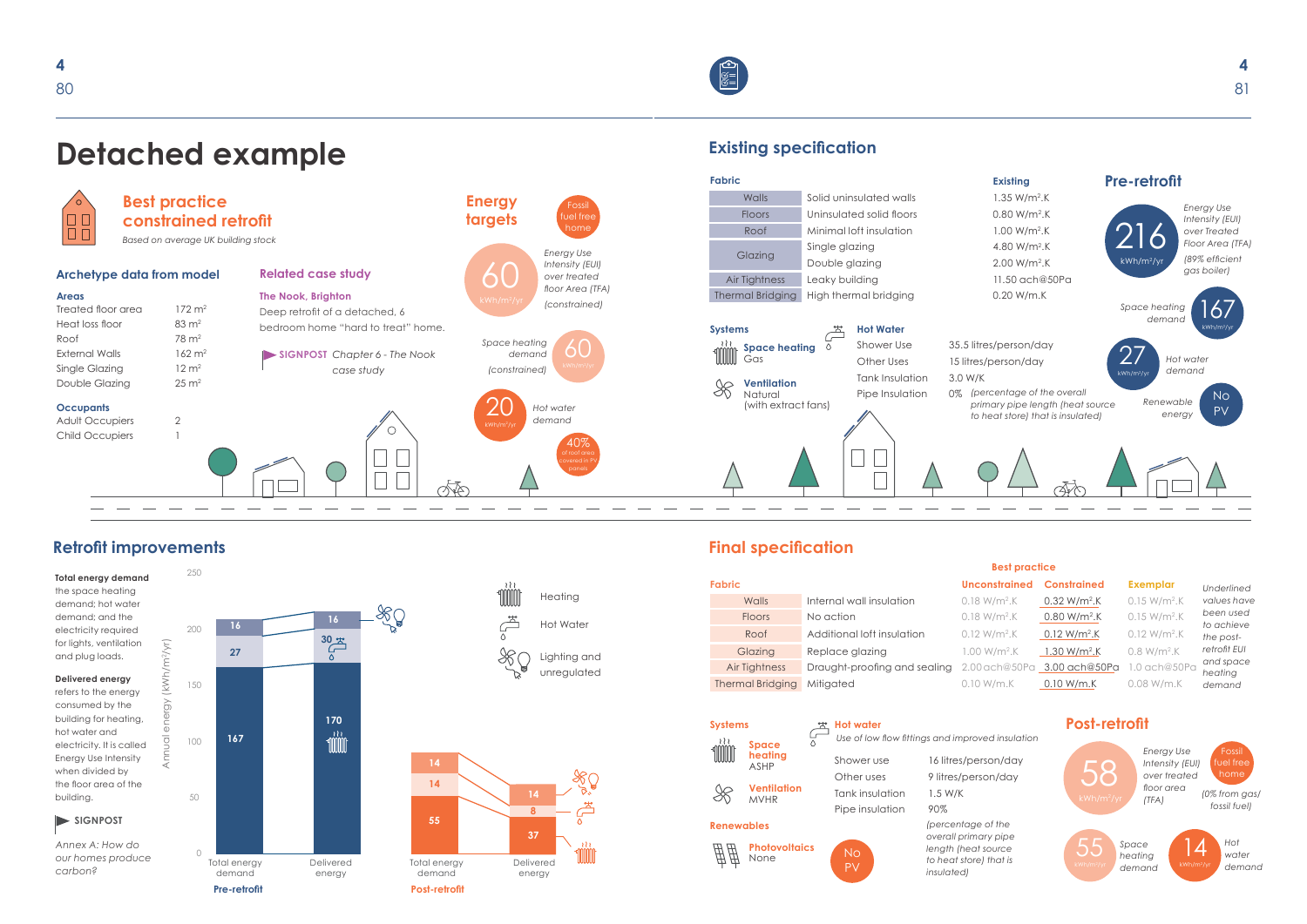

250 **Total energy demand**  the space heating demand; hot water demand; and the **16** 200 electricity required Annual Energy (KWh/m2/yr)<br>Annual Energy (KWh/m2/yr) for lights, ventilation  $\sqrt{r}$ Annual energy (kWh/m2/yr) **27** and plug loads. **Delivered energy**  $(\kappa \vee$ 150 refers to the energy consumed by the  $\gtrsim$ building for heating, hot water and **167**  $\overline{O}$ 100 electricity. It is called Energy Use Intensity when divided by the floor area of the 50 building. **SIGNPOST** *Annex A: How do*   $\bigcap$ *our homes produce* 

# **Detached example**

# **Retrofit improvements**

*carbon?*

# **Existing specification**

*Space heating demand*

# **Final specification**

**Systems Post-retrofit**

# **Best practice**

| nstrained | <b>Constrained</b> | <b>Exemplar</b> |
|-----------|--------------------|-----------------|





- *Use of low flow fittings and improved insulation*
- erson/day son/day
- *(percentage of the overall primary pipe length (heat source to heat store) that is*

# $\bigcap$

| <b>Fabric</b>           |                              | Unconstrained Constrained   |                         | <b>Exemplar</b> |
|-------------------------|------------------------------|-----------------------------|-------------------------|-----------------|
| Walls                   | Internal wall insulation     | $0.18 W/m2$ .K              | $0.32 W/m2$ .K          | $0.15 W/m2$ .K  |
| <b>Floors</b>           | No action                    | $0.18 W/m2$ .K              | $0.80 W/m2$ .K          | $0.15 W/m2$ .K  |
| Roof                    | Additional loft insulation   | $0.12 W/m2$ .K              | $0.12 W/m2$ .K          | $0.12 W/m2$ .K  |
| Glazing                 | Replace glazing              | $1.00 W/m2$ .K              | $1.30 \text{ W/m}^2$ .K | $0.8 W/m2$ .K   |
| Air Tightness           | Draught-proofing and sealing | 2.00 ach@50Pa 3.00 ach@50Pa |                         | $1.0$ ach@50Pa  |
| <b>Thermal Bridging</b> | Mitigated                    | $0.10$ W/m.K                | 0.10 W/m.K              | $0.08$ W/m.K    |



| <b>Systems</b>      |                                   | <b>Hot water</b> |                                                                                             |                       |
|---------------------|-----------------------------------|------------------|---------------------------------------------------------------------------------------------|-----------------------|
| 151<br><b>Space</b> |                                   |                  | Use of low flow fittings and improved insulation                                            |                       |
|                     | heating<br><b>ASHP</b>            | Shower use       | 16 litres/person/day                                                                        |                       |
|                     |                                   | Other uses       | 9 litres/person/day                                                                         |                       |
|                     | <b>Ventilation</b><br><b>MVHR</b> | Tank insulation  | 1.5 W/K                                                                                     | kWh/r                 |
|                     |                                   | Pipe insulation  | 90%                                                                                         |                       |
| <b>Renewables</b>   |                                   |                  | (percentage of the                                                                          |                       |
| ₩                   | <b>Photovoltaics</b><br>None      | <b>No</b><br>PV  | overall primary pipe<br>length (heat source<br>to heat store) that is<br><i>insulated</i> ) | kWh/m <sup>2</sup> /y |

- 
- *Underlined values have been used to achieve the postretrofit EUI and space heating demand*



*Hot water demand*

*(0% from gas/ fossil fuel)*

*Energy Use Intensity (EUI) over treated floor area (TFA)*

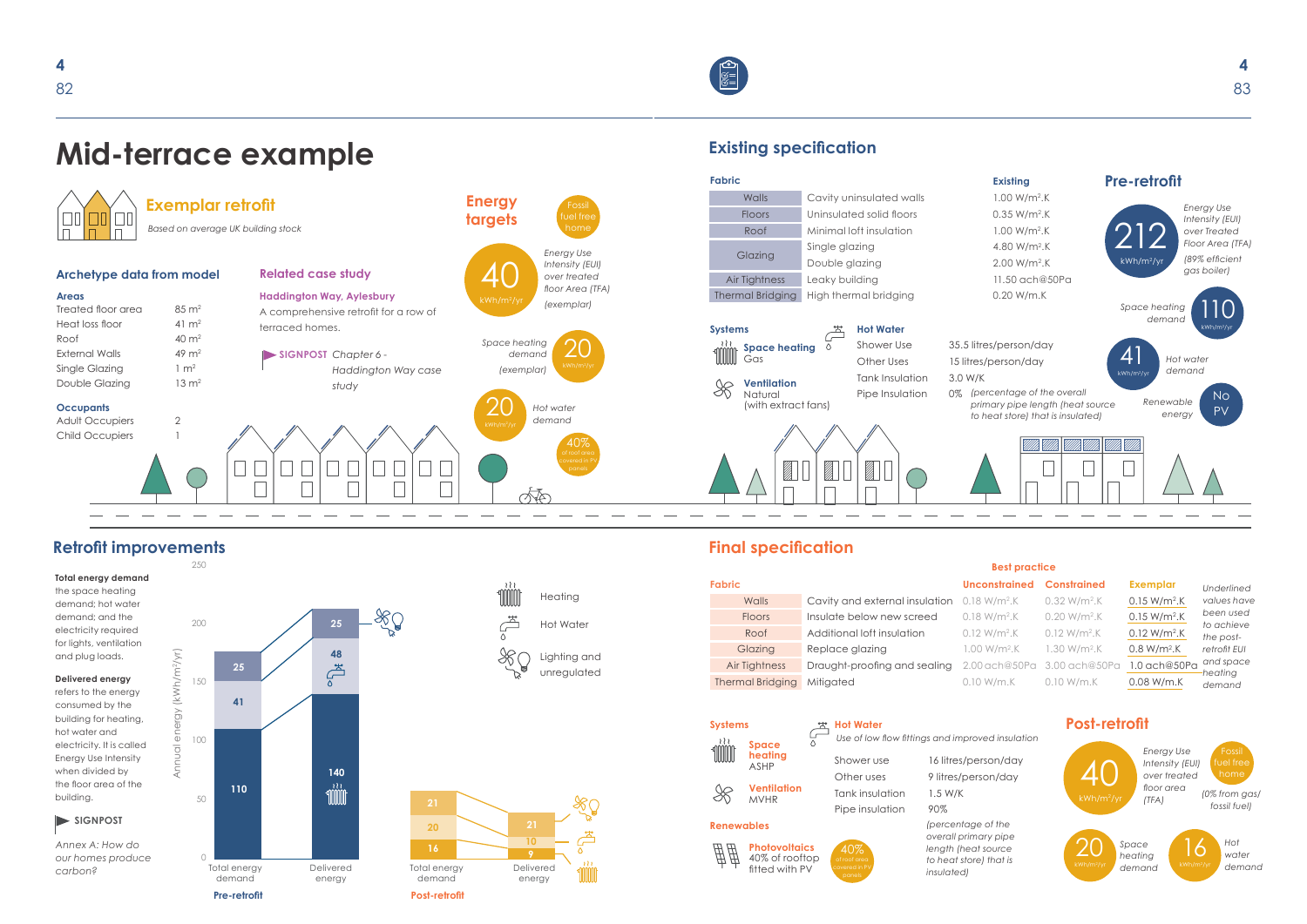



250

 $\equiv$ 

**MI Heating**  $\begin{picture}(120,15) \put(0,0){\line(1,0){15}} \put(15,0){\line(1,0){15}} \put(15,0){\line(1,0){15}} \put(15,0){\line(1,0){15}} \put(15,0){\line(1,0){15}} \put(15,0){\line(1,0){15}} \put(15,0){\line(1,0){15}} \put(15,0){\line(1,0){15}} \put(15,0){\line(1,0){15}} \put(15,0){\line(1,0){15}} \put(15,0){\line(1,0){15}} \put(15,0){\line($ Hot Water  $\frac{1}{2}$ Lighting and unregulated

o∯ Tom

DET

**Areas** Treated floor area  $85 \text{ m}^2$ Heat loss floor  $41 \text{ m}^2$ Roof  $40 \text{ m}^2$ External Walls  $49 \text{ m}^2$ Single Glazing  $1 \text{ m}^2$ Double Glazing 13 m<sup>2</sup>

# **Mid-terrace example**

 $\Box$ 

# **Retrofit improvements**

**SIGNPOST** *Chapter 6 - Haddington Way case study*

**SIGNPOST**

*Annex A: How do* 

*carbon?*

#### **Occupants**

Adult Occupiers 2 Child Occupiers

*Based on average UK building stock*

#### **Exemplar retrofit**

#### **Archetype data from model Related case study**

**Haddington Way, Aylesbury** A comprehensive retrofit for a row of terraced homes.

|                       | <b>Thermal Bridging</b>                | Mitigated                                        | 0.10 W/m.K                                                            |
|-----------------------|----------------------------------------|--------------------------------------------------|-----------------------------------------------------------------------|
| <b>Systems</b><br>151 |                                        | <b>Hot Water</b>                                 | Use of low flow fittings and improved insulation                      |
|                       | <b>Space</b><br>heating<br><b>ASHP</b> | Shower use                                       | 16 litres/person/day                                                  |
|                       | <b>Ventilation</b><br><b>MVHR</b>      | Other uses<br>Tank insulation<br>Pipe insulation | 9 litres/person/day<br>$1.5$ W/K<br>90%                               |
| <b>Renewables</b>     |                                        |                                                  | (percentage of the                                                    |
|                       | <b>Photovoltaics</b><br>40% of rooftop | of roof area                                     | overall primary pipe<br>length (heat source<br>to heat store) that is |

fitted with PV

**14** *Space*  **8** *heating* 



# **Existing specification**

|                                |                |                | <b>Exemplar</b>                                          |
|--------------------------------|----------------|----------------|----------------------------------------------------------|
| Cavity and external insulation |                | $0.32 W/m2$ .K | $0.15 W/m2$ .K                                           |
| Insulate below new screed      | $0.18 W/m2$ .K | $0.20 W/m2$ .K | $0.15 W/m2$ .K                                           |
| Additional loft insulation     | $0.12 W/m2$ .K | $0.12 W/m2$ .K | $0.12 W/m2$ .K                                           |
| Replace glazing                | $1.00 W/m2$ .K | $1.30 W/m2$ .K | $0.8 W/m2$ .K                                            |
| Draught-proofing and sealing   |                |                | 1.0 ach@50Pa                                             |
| Mitigated                      | 0.10 W/m.K     | 0.10 W/m.K     | 0.08 W/m.K                                               |
|                                |                | 0.18 W/m².K    | Unconstrained Constrained<br>2.00 ach@50Pa 3.00 ach@50Pa |

*demand*



# **Final specification**

# **Systems Post-retrofit**

# **Best practice**

20

*Use of low flow fittings and improved insulation*





**Fabric**



#### **Unconstrained Constrained Exemplar**

Pipe insulation 90% *(percentage of the overall primary pipe length (heat source to heat store) that is insulated)*





*Underlined values have been used to achieve the postretrofit EUI and space heating demand*



*Hot water demand*

*(0% from gas/ fossil fuel)*

*Energy Use Intensity (EUI) over treated floor area (TFA)*



**Energy** 

20



*Hot water demand*

40%

#### **Total energy demand**  the space heating demand; hot water demand; and the electricity required for lights, ventilation and plug loads.

**Delivered energy** refers to the energy consumed by the building for heating, hot water and electricity. It is called Energy Use Intensity when divided by the floor area of the building.